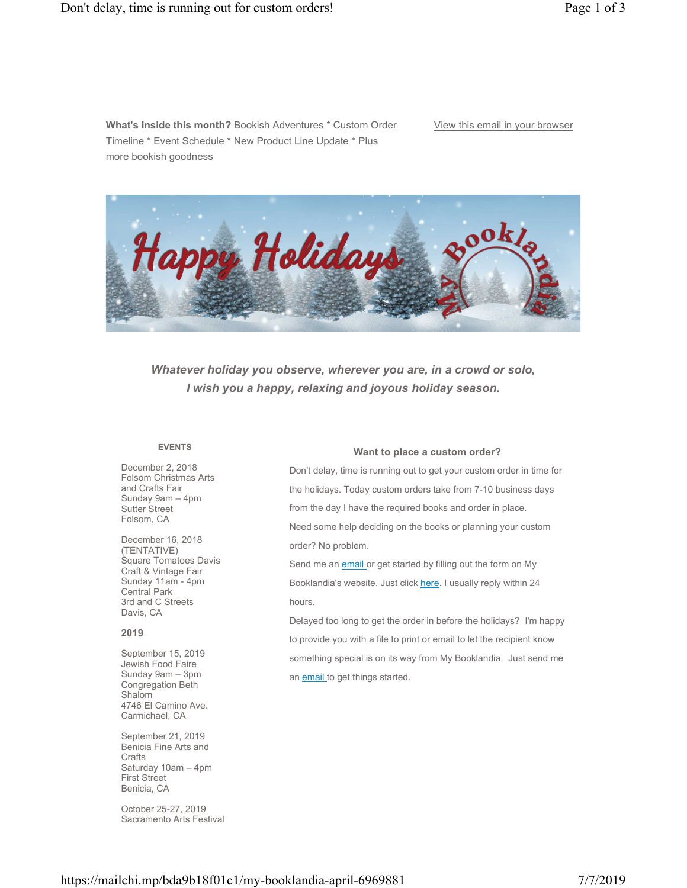**What's inside this month?** Bookish Adventures \* Custom Order Timeline \* Event Schedule \* New Product Line Update \* Plus more bookish goodness

# View this email in your browser



*Whatever holiday you observe, wherever you are, in a crowd or solo, I wish you a happy, relaxing and joyous holiday season.*

# **EVENTS**

December 2, 2018 Folsom Christmas Arts and Crafts Fair Sunday 9am – 4pm Sutter Street Folsom, CA

December 16, 2018 (TENTATIVE) Square Tomatoes Davis Craft & Vintage Fair Sunday 11am - 4pm Central Park 3rd and C Streets Davis, CA

#### **2019**

September 15, 2019 Jewish Food Faire Sunday 9am – 3pm Congregation Beth **Shalom** 4746 El Camino Ave. Carmichael, CA

September 21, 2019 Benicia Fine Arts and **Crafts** Saturday 10am – 4pm First Street Benicia, CA

October 25-27, 2019 Sacramento Arts Festival

#### **Want to place a custom order?**

Don't delay, time is running out to get your custom order in time for the holidays. Today custom orders take from 7-10 business days from the day I have the required books and order in place. Need some help deciding on the books or planning your custom order? No problem.

Send me an **email** or get started by filling out the form on My Booklandia's website. Just click here. I usually reply within 24 hours.

Delayed too long to get the order in before the holidays? I'm happy to provide you with a file to print or email to let the recipient know something special is on its way from My Booklandia. Just send me an **email** to get things started.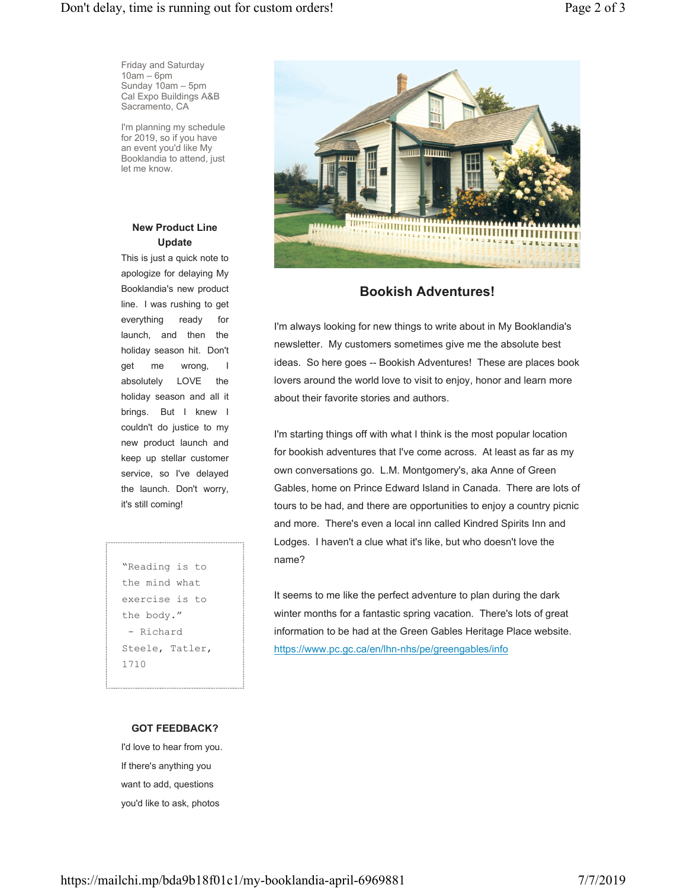Friday and Saturday 10am – 6pm Sunday 10am – 5pm Cal Expo Buildings A&B Sacramento, CA

I'm planning my schedule for 2019, so if you have an event you'd like My Booklandia to attend, just let me know.

# **New Product Line Update**

This is just a quick note to apologize for delaying My Booklandia's new product line. I was rushing to get everything ready for launch, and then the holiday season hit. Don't get me wrong, I absolutely LOVE the holiday season and all it brings. But I knew I couldn't do justice to my new product launch and keep up stellar customer service, so I've delayed the launch. Don't worry, it's still coming!

"Reading is to the mind what exercise is to the body." - Richard Steele, Tatler, 1710



# **Bookish Adventures!**

I'm always looking for new things to write about in My Booklandia's newsletter. My customers sometimes give me the absolute best ideas. So here goes -- Bookish Adventures! These are places book lovers around the world love to visit to enjoy, honor and learn more about their favorite stories and authors.

I'm starting things off with what I think is the most popular location for bookish adventures that I've come across. At least as far as my own conversations go. L.M. Montgomery's, aka Anne of Green Gables, home on Prince Edward Island in Canada. There are lots of tours to be had, and there are opportunities to enjoy a country picnic and more. There's even a local inn called Kindred Spirits Inn and Lodges. I haven't a clue what it's like, but who doesn't love the name?

It seems to me like the perfect adventure to plan during the dark winter months for a fantastic spring vacation. There's lots of great information to be had at the Green Gables Heritage Place website. https://www.pc.gc.ca/en/lhn-nhs/pe/greengables/info

# **GOT FEEDBACK?**

I'd love to hear from you. If there's anything you want to add, questions you'd like to ask, photos